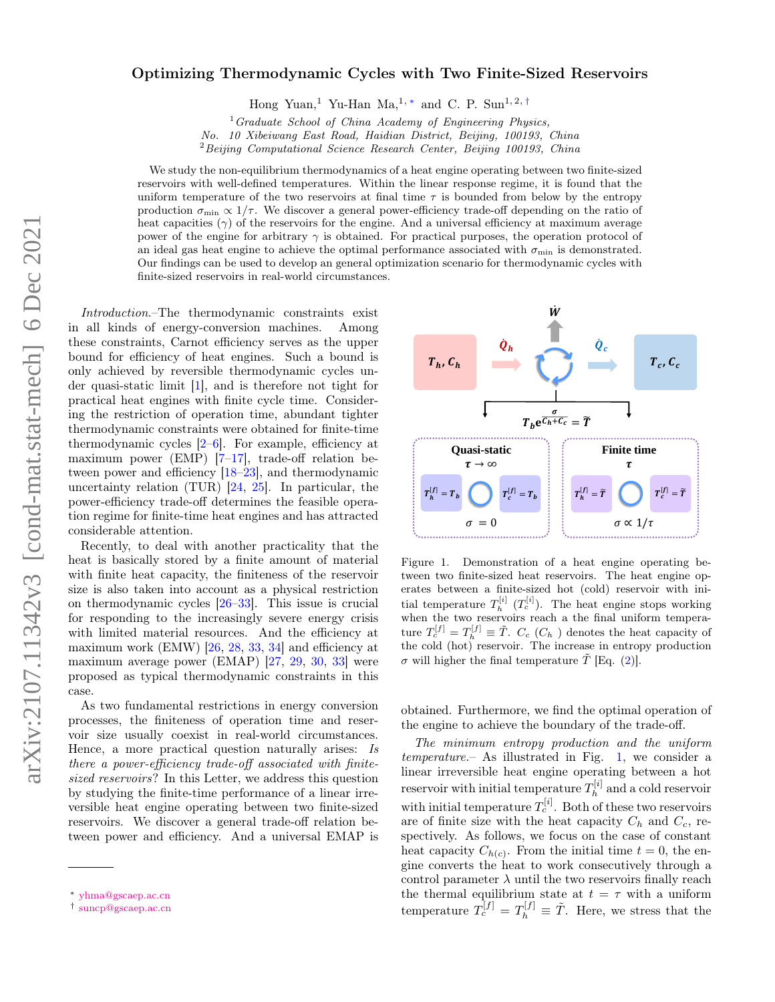## Optimizing Thermodynamic Cycles with Two Finite-Sized Reservoirs

Hong Yuan,<sup>1</sup> Yu-Han Ma,<sup>1,\*</sup> and C. P. Sun<sup>1,2,†</sup>

 $1$  Graduate School of China Academy of Engineering Physics,

No. 10 Xibeiwang East Road, Haidian District, Beijing, 100193, China

 $2$ Beijing Computational Science Research Center, Beijing 100193, China

We study the non-equilibrium thermodynamics of a heat engine operating between two finite-sized reservoirs with well-defined temperatures. Within the linear response regime, it is found that the uniform temperature of the two reservoirs at final time  $\tau$  is bounded from below by the entropy production  $\sigma_{\min} \propto 1/\tau$ . We discover a general power-efficiency trade-off depending on the ratio of heat capacities  $(\gamma)$  of the reservoirs for the engine. And a universal efficiency at maximum average power of the engine for arbitrary  $\gamma$  is obtained. For practical purposes, the operation protocol of an ideal gas heat engine to achieve the optimal performance associated with  $\sigma_{\min}$  is demonstrated. Our findings can be used to develop an general optimization scenario for thermodynamic cycles with finite-sized reservoirs in real-world circumstances.

Introduction.–The thermodynamic constraints exist in all kinds of energy-conversion machines. Among these constraints, Carnot efficiency serves as the upper bound for efficiency of heat engines. Such a bound is only achieved by reversible thermodynamic cycles under quasi-static limit [1], and is therefore not tight for practical heat engines with finite cycle time. Considering the restriction of operation time, abundant tighter thermodynamic constraints were obtained for finite-time thermodynamic cycles  $[2-6]$ . For example, efficiency at maximum power (EMP)  $[7-17]$ , trade-off relation between power and efficiency [18–23], and thermodynamic uncertainty relation (TUR) [24, 25]. In particular, the power-efficiency trade-off determines the feasible operation regime for finite-time heat engines and has attracted considerable attention.

Recently, to deal with another practicality that the heat is basically stored by a finite amount of material with finite heat capacity, the finiteness of the reservoir size is also taken into account as a physical restriction on thermodynamic cycles [26–33]. This issue is crucial for responding to the increasingly severe energy crisis with limited material resources. And the efficiency at maximum work (EMW)  $[26, 28, 33, 34]$  and efficiency at maximum average power (EMAP) [27, 29, 30, 33] were proposed as typical thermodynamic constraints in this case.

As two fundamental restrictions in energy conversion processes, the finiteness of operation time and reservoir size usually coexist in real-world circumstances. Hence, a more practical question naturally arises: Is there a power-efficiency trade-off associated with finitesized reservoirs? In this Letter, we address this question by studying the finite-time performance of a linear irreversible heat engine operating between two finite-sized reservoirs. We discover a general trade-off relation between power and efficiency. And a universal EMAP is



Figure 1. Demonstration of a heat engine operating between two finite-sized heat reservoirs. The heat engine operates between a finite-sized hot (cold) reservoir with initial temperature  $T_h^{[i]}$  ( $T_c^{[i]}$ ). The heat engine stops working when the two reservoirs reach a the final uniform temperature  $T_c^{[f]} = T_h^{[f]} \equiv \tilde{T}$ .  $C_c$  ( $C_h$ ) denotes the heat capacity of the cold (hot) reservoir. The increase in entropy production σ will higher the final temperature  $\tilde{T}$  [Eq. (2)].

obtained. Furthermore, we find the optimal operation of the engine to achieve the boundary of the trade-off.

The minimum entropy production and the uniform temperature.– As illustrated in Fig. 1, we consider a linear irreversible heat engine operating between a hot reservoir with initial temperature  $T_h^{[i]}$  $h^{[i]}$  and a cold reservoir with initial temperature  $T_c^{[i]}$ . Both of these two reservoirs are of finite size with the heat capacity  $C_h$  and  $C_c$ , respectively. As follows, we focus on the case of constant heat capacity  $C_{h(c)}$ . From the initial time  $t = 0$ , the engine converts the heat to work consecutively through a control parameter  $\lambda$  until the two reservoirs finally reach the thermal equilibrium state at  $t = \tau$  with a uniform temperature  $T_c^{[f]} = T_h^{[f]} \equiv \tilde{T}$ . Here, we stress that the

<sup>∗</sup> yhma@gscaep.ac.cn

<sup>†</sup> suncp@gscaep.ac.cn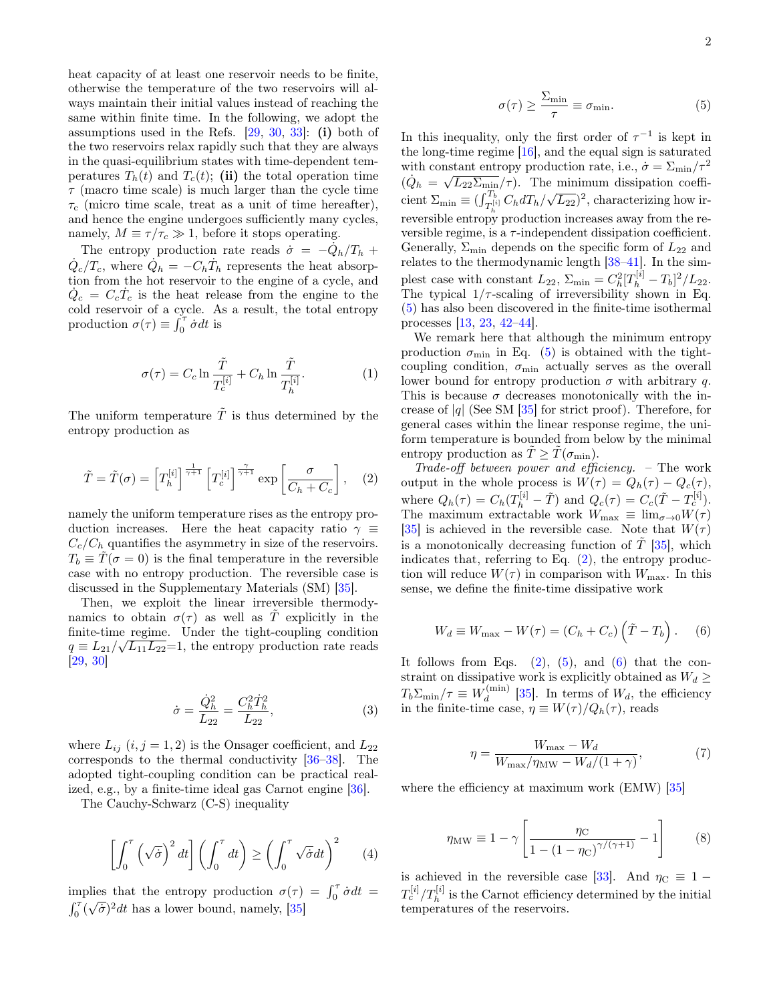heat capacity of at least one reservoir needs to be finite, otherwise the temperature of the two reservoirs will always maintain their initial values instead of reaching the same within finite time. In the following, we adopt the assumptions used in the Refs.  $[29, 30, 33]$ : (i) both of the two reservoirs relax rapidly such that they are always in the quasi-equilibrium states with time-dependent temperatures  $T_h(t)$  and  $T_c(t)$ ; (ii) the total operation time  $\tau$  (macro time scale) is much larger than the cycle time  $\tau_c$  (micro time scale, treat as a unit of time hereafter), and hence the engine undergoes sufficiently many cycles, namely,  $M \equiv \tau/\tau_c \gg 1$ , before it stops operating.

The entropy production rate reads  $\dot{\sigma} = -\dot{Q}_h/T_h +$  $\dot{Q}_c/T_c$ , where  $\dot{Q}_h = -C_h\dot{T}_h$  represents the heat absorption from the hot reservoir to the engine of a cycle, and  $\dot{Q}_c = C_c \dot{T}_c$  is the heat release from the engine to the cold reservoir of a cycle. As a result, the total entropy production  $\sigma(\tau) \equiv \int_0^{\tau} \dot{\sigma} dt$  is

$$
\sigma(\tau) = C_c \ln \frac{\tilde{T}}{T_c^{[i]}} + C_h \ln \frac{\tilde{T}}{T_h^{[i]}}.
$$
 (1)

The uniform temperature  $\tilde{T}$  is thus determined by the entropy production as

$$
\tilde{T} = \tilde{T}(\sigma) = \left[T_h^{[i]}\right]^{\frac{1}{\gamma+1}} \left[T_c^{[i]}\right]^{\frac{\gamma}{\gamma+1}} \exp\left[\frac{\sigma}{C_h + C_c}\right], \quad (2)
$$

namely the uniform temperature rises as the entropy production increases. Here the heat capacity ratio  $\gamma \equiv$  $C_c/C_h$  quantifies the asymmetry in size of the reservoirs.  $T_b \equiv \tilde{T}(\sigma = 0)$  is the final temperature in the reversible case with no entropy production. The reversible case is discussed in the Supplementary Materials (SM) [35].

Then, we exploit the linear irreversible thermodynamics to obtain  $\sigma(\tau)$  as well as T explicitly in the finite-time regime. Under the tight-coupling condition  $q \equiv L_{21}/\sqrt{L_{11}L_{22}}=1$ , the entropy production rate reads [29, 30]

$$
\dot{\sigma} = \frac{\dot{Q}_h^2}{L_{22}} = \frac{C_h^2 \dot{T}_h^2}{L_{22}},\tag{3}
$$

where  $L_{ij}$   $(i, j = 1, 2)$  is the Onsager coefficient, and  $L_{22}$ corresponds to the thermal conductivity [36–38]. The adopted tight-coupling condition can be practical realized, e.g., by a finite-time ideal gas Carnot engine [36].

The Cauchy-Schwarz (C-S) inequality

$$
\left[\int_0^{\tau} \left(\sqrt{\dot{\sigma}}\right)^2 dt\right] \left(\int_0^{\tau} dt\right) \ge \left(\int_0^{\tau} \sqrt{\dot{\sigma}} dt\right)^2 \tag{4}
$$

implies that the entropy production  $\sigma(\tau) = \int_0^{\tau} \dot{\sigma} dt =$  $\int_0^\tau (\sqrt{\dot{\sigma}})^2 dt$  has a lower bound, namely, [35]

$$
\sigma(\tau) \ge \frac{\Sigma_{\min}}{\tau} \equiv \sigma_{\min}.\tag{5}
$$

In this inequality, only the first order of  $\tau^{-1}$  is kept in the long-time regime [16], and the equal sign is saturated with constant entropy production rate, i.e.,  $\dot{\sigma} = \sum_{\text{min}}/\tau^2$  $(\dot{Q}_h = \sqrt{L_{22}\Sigma_{\text{min}}/\tau})$ . The minimum dissipation coefficient  $\Sigma_{\min} \equiv (\int_{T_h^{[i]}}^{T_b} C_h dT_h / \sqrt{L_{22}})^2$ , characterizing how irreversible entropy production increases away from the reversible regime, is a  $\tau$ -independent dissipation coefficient. Generally,  $\Sigma_{\rm min}$  depends on the specific form of  $L_{22}$  and relates to the thermodynamic length [38–41]. In the simplest case with constant  $L_{22}$ ,  $\Sigma_{\min} = C_h^2 [T_h^{[i]} - T_b]^2 / L_{22}$ . The typical  $1/\tau$ -scaling of irreversibility shown in Eq. (5) has also been discovered in the finite-time isothermal processes [13, 23, 42–44].

We remark here that although the minimum entropy production  $\sigma_{\min}$  in Eq. (5) is obtained with the tightcoupling condition,  $\sigma_{\min}$  actually serves as the overall lower bound for entropy production  $\sigma$  with arbitrary q. This is because  $\sigma$  decreases monotonically with the increase of  $|q|$  (See SM  $[35]$  for strict proof). Therefore, for general cases within the linear response regime, the uniform temperature is bounded from below by the minimal entropy production as  $\tilde{T} \geq \tilde{T}(\sigma_{\min}).$ 

Trade-off between power and efficiency. – The work output in the whole process is  $W(\tau) = Q_h(\tau) - Q_c(\tau)$ , where  $Q_h(\tau) = C_h(T_h^{[i]} - \tilde{T})$  and  $Q_c(\tau) = C_c(\tilde{T} - T_c^{[i]}).$ The maximum extractable work  $W_{\text{max}} \equiv \lim_{\sigma \to 0} W(\tau)$ [35] is achieved in the reversible case. Note that  $W(\tau)$ is a monotonically decreasing function of  $T$  [35], which indicates that, referring to Eq.  $(2)$ , the entropy production will reduce  $W(\tau)$  in comparison with  $W_{\text{max}}$ . In this sense, we define the finite-time dissipative work

$$
W_d \equiv W_{\text{max}} - W(\tau) = (C_h + C_c) \left(\tilde{T} - T_b\right). \quad (6)
$$

It follows from Eqs.  $(2)$ ,  $(5)$ , and  $(6)$  that the constraint on dissipative work is explicitly obtained as  $W_d \geq$  $T_b \Sigma_{\min}/\tau \equiv W_d^{\text{(min)}}$  $\binom{(\text{min})}{d}$  [35]. In terms of  $W_d$ , the efficiency in the finite-time case,  $\eta \equiv W(\tau)/Q_h(\tau)$ , reads

$$
\eta = \frac{W_{\text{max}} - W_d}{W_{\text{max}} / \eta_{\text{MW}} - W_d / (1 + \gamma)},\tag{7}
$$

where the efficiency at maximum work (EMW) [35]

$$
\eta_{\text{MW}} \equiv 1 - \gamma \left[ \frac{\eta_{\text{C}}}{1 - (1 - \eta_{\text{C}})^{\gamma/(\gamma + 1)}} - 1 \right] \tag{8}
$$

is achieved in the reversible case [33]. And  $\eta_C \equiv 1 T_c^{[i]}/T_h^{[i]}$  is the Carnot efficiency determined by the initial temperatures of the reservoirs.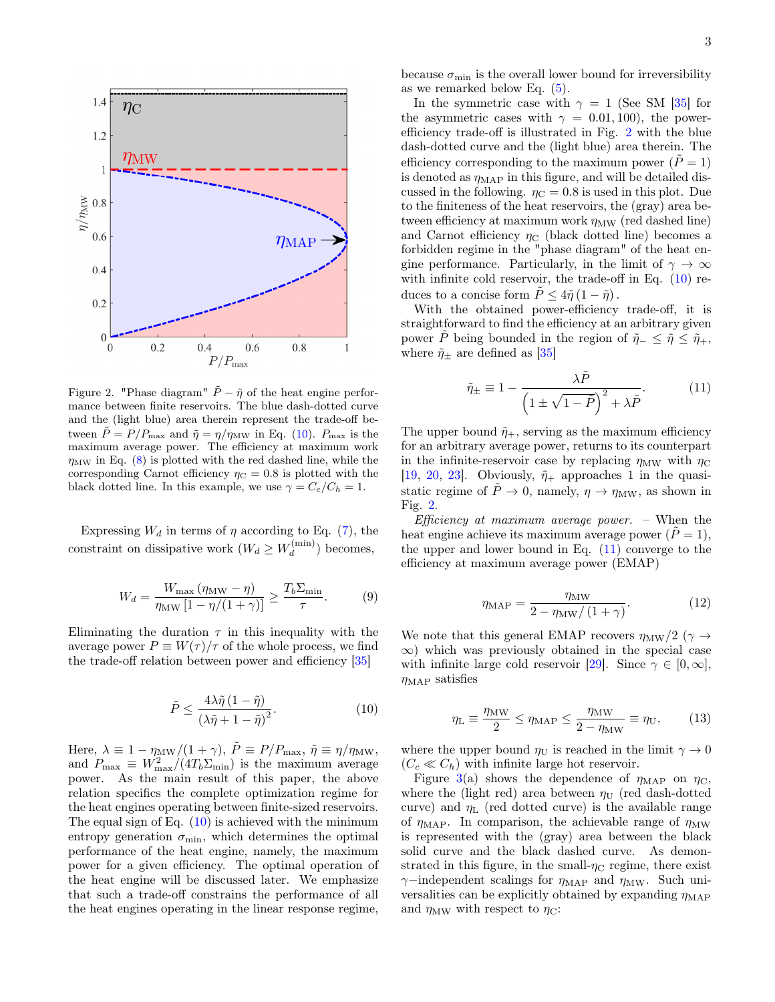

Figure 2. "Phase diagram"  $\tilde{P} - \tilde{\eta}$  of the heat engine performance between finite reservoirs. The blue dash-dotted curve and the (light blue) area therein represent the trade-off between  $\tilde{P} = P/P_{\text{max}}$  and  $\tilde{\eta} = \eta/\eta_{\text{MW}}$  in Eq. (10).  $P_{\text{max}}$  is the maximum average power. The efficiency at maximum work  $\eta_{\text{MW}}$  in Eq. (8) is plotted with the red dashed line, while the corresponding Carnot efficiency  $\eta_C = 0.8$  is plotted with the black dotted line. In this example, we use  $\gamma = C_c/C_h = 1$ .

Expressing  $W_d$  in terms of  $\eta$  according to Eq. (7), the constraint on dissipative work  $(W_d \geq W_d^{(\min)}$  $\binom{(\text{min})}{d}$  becomes,

$$
W_d = \frac{W_{\text{max}} \left( \eta_{\text{MW}} - \eta \right)}{\eta_{\text{MW}} \left[ 1 - \eta / (1 + \gamma) \right]} \ge \frac{T_b \Sigma_{\text{min}}}{\tau}.
$$
 (9)

Eliminating the duration  $\tau$  in this inequality with the average power  $P \equiv W(\tau)/\tau$  of the whole process, we find the trade-off relation between power and efficiency [35]

$$
\tilde{P} \le \frac{4\lambda \tilde{\eta} (1 - \tilde{\eta})}{\left(\lambda \tilde{\eta} + 1 - \tilde{\eta}\right)^2}.
$$
\n(10)

Here,  $\lambda \equiv 1 - \eta_{\text{MW}}/(1 + \gamma)$ ,  $\tilde{P} \equiv P/P_{\text{max}}$ ,  $\tilde{\eta} \equiv \eta/\eta_{\text{MW}}$ , and  $P_{\text{max}} \equiv W_{\text{max}}^2/(4T_b \Sigma_{\text{min}})$  is the maximum average power. As the main result of this paper, the above relation specifics the complete optimization regime for the heat engines operating between finite-sized reservoirs. The equal sign of Eq.  $(10)$  is achieved with the minimum entropy generation  $\sigma_{\min}$ , which determines the optimal performance of the heat engine, namely, the maximum power for a given efficiency. The optimal operation of the heat engine will be discussed later. We emphasize that such a trade-off constrains the performance of all the heat engines operating in the linear response regime,

because  $\sigma_{\min}$  is the overall lower bound for irreversibility as we remarked below Eq. (5).

In the symmetric case with  $\gamma = 1$  (See SM [35] for the asymmetric cases with  $\gamma = 0.01, 100$ , the powerefficiency trade-off is illustrated in Fig. 2 with the blue dash-dotted curve and the (light blue) area therein. The efficiency corresponding to the maximum power ( $\tilde{P} = 1$ ) is denoted as  $\eta_{\text{MAP}}$  in this figure, and will be detailed discussed in the following.  $\eta_C = 0.8$  is used in this plot. Due to the finiteness of the heat reservoirs, the (gray) area between efficiency at maximum work  $\eta_{\text{MW}}$  (red dashed line) and Carnot efficiency  $\eta_C$  (black dotted line) becomes a forbidden regime in the "phase diagram" of the heat engine performance. Particularly, in the limit of  $\gamma \to \infty$ with infinite cold reservoir, the trade-off in Eq. (10) reduces to a concise form  $\tilde{P} \leq 4\tilde{\eta} (1 - \tilde{\eta})$ .

With the obtained power-efficiency trade-off, it is straightforward to find the efficiency at an arbitrary given power  $\tilde{P}$  being bounded in the region of  $\tilde{\eta}_-\leq \tilde{\eta}\leq \tilde{\eta}_+,$ where  $\tilde{\eta}_{\pm}$  are defined as [35]

$$
\tilde{\eta}_{\pm} \equiv 1 - \frac{\lambda \tilde{P}}{\left(1 \pm \sqrt{1 - \tilde{P}}\right)^2 + \lambda \tilde{P}}.\tag{11}
$$

The upper bound  $\tilde{\eta}_+$ , serving as the maximum efficiency for an arbitrary average power, returns to its counterpart in the infinite-reservoir case by replacing  $\eta_{\text{MW}}$  with  $\eta_{\text{C}}$ [19, 20, 23]. Obviously,  $\tilde{\eta}_+$  approaches 1 in the quasistatic regime of  $\tilde{P} \to 0$ , namely,  $\eta \to \eta_{\text{MW}}$ , as shown in Fig. 2.

Efficiency at maximum average power.  $\sim$  When the heat engine achieve its maximum average power  $(\tilde{P} = 1)$ , the upper and lower bound in Eq.  $(11)$  converge to the efficiency at maximum average power (EMAP)

$$
\eta_{\rm MAP} = \frac{\eta_{\rm MW}}{2 - \eta_{\rm MW}/\left(1 + \gamma\right)}.\tag{12}
$$

We note that this general EMAP recovers  $\eta_{\text{MW}}/2$  ( $\gamma \rightarrow$  $\infty$ ) which was previously obtained in the special case with infinite large cold reservoir [29]. Since  $\gamma \in [0, \infty]$ ,  $\eta_{MAP}$  satisfies

$$
\eta_{\rm L} \equiv \frac{\eta_{\rm MW}}{2} \le \eta_{\rm MAP} \le \frac{\eta_{\rm MW}}{2 - \eta_{\rm MW}} \equiv \eta_{\rm U},\qquad(13)
$$

where the upper bound  $\eta_U$  is reached in the limit  $\gamma \to 0$  $(C_c \ll C_h)$  with infinite large hot reservoir.

Figure 3(a) shows the dependence of  $\eta_{MAP}$  on  $\eta_{C}$ , where the (light red) area between  $\eta_U$  (red dash-dotted curve) and  $\eta_L$  (red dotted curve) is the available range of  $\eta_{\text{MAP}}$ . In comparison, the achievable range of  $\eta_{\text{MW}}$ is represented with the (gray) area between the black solid curve and the black dashed curve. As demonstrated in this figure, in the small- $\eta_{\rm C}$  regime, there exist  $\gamma$ −independent scalings for  $\eta_{\text{MAP}}$  and  $\eta_{\text{MW}}$ . Such universalities can be explicitly obtained by expanding  $\eta_{\text{MAP}}$ and  $\eta_{\text{MW}}$  with respect to  $\eta_{\text{C}}$ :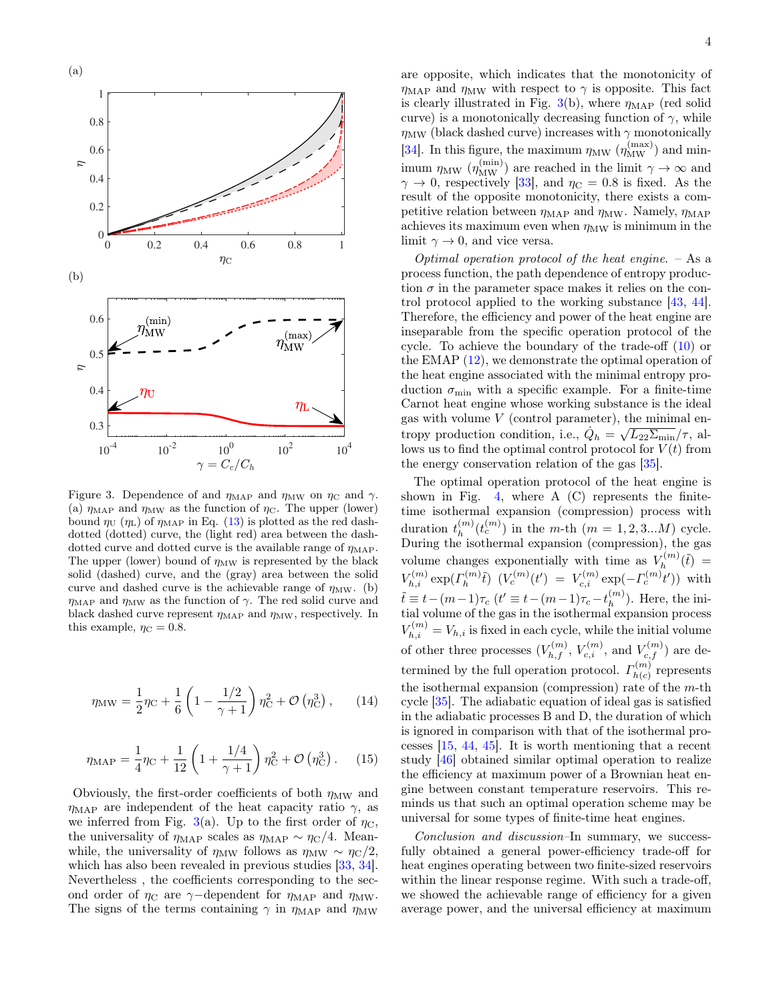

Figure 3. Dependence of and  $\eta_{\text{MAP}}$  and  $\eta_{\text{MW}}$  on  $\eta_{\text{C}}$  and  $\gamma$ . (a)  $\eta_{\text{MAP}}$  and  $\eta_{\text{MW}}$  as the function of  $\eta_{\text{C}}$ . The upper (lower) bound  $\eta_U$  ( $\eta_L$ ) of  $\eta_{MAP}$  in Eq. (13) is plotted as the red dashdotted (dotted) curve, the (light red) area between the dashdotted curve and dotted curve is the available range of  $\eta_{\text{MAP}}$ . The upper (lower) bound of  $\eta_{\text{MW}}$  is represented by the black solid (dashed) curve, and the (gray) area between the solid curve and dashed curve is the achievable range of  $\eta_{\text{MW}}$ . (b)  $\eta_{\rm MAP}$  and  $\eta_{\rm MW}$  as the function of  $\gamma$ . The red solid curve and black dashed curve represent  $\eta_{\text{MAP}}$  and  $\eta_{\text{MW}}$ , respectively. In this example,  $\eta_C = 0.8$ .

$$
\eta_{\rm MW} = \frac{1}{2}\eta_{\rm C} + \frac{1}{6}\left(1 - \frac{1/2}{\gamma + 1}\right)\eta_{\rm C}^2 + \mathcal{O}\left(\eta_{\rm C}^3\right),\qquad(14)
$$

$$
\eta_{\rm MAP} = \frac{1}{4}\eta_{\rm C} + \frac{1}{12}\left(1 + \frac{1/4}{\gamma + 1}\right)\eta_{\rm C}^2 + \mathcal{O}\left(\eta_{\rm C}^3\right). \tag{15}
$$

Obviously, the first-order coefficients of both  $\eta_{\text{MW}}$  and  $\eta_{\text{MAP}}$  are independent of the heat capacity ratio  $\gamma$ , as we inferred from Fig. 3(a). Up to the first order of  $\eta_{\rm C}$ , the universality of  $\eta_{\text{MAP}}$  scales as  $\eta_{\text{MAP}} \sim \eta_{\text{C}}/4$ . Meanwhile, the universality of  $\eta_{\text{MW}}$  follows as  $\eta_{\text{MW}} \sim \eta_{\text{C}}/2$ , which has also been revealed in previous studies [33, 34]. Nevertheless , the coefficients corresponding to the second order of  $\eta_{\rm C}$  are  $\gamma$ -dependent for  $\eta_{\rm MAP}$  and  $\eta_{\rm MW}$ . The signs of the terms containing  $\gamma$  in  $\eta_{\text{MAP}}$  and  $\eta_{\text{MW}}$ 

are opposite, which indicates that the monotonicity of  $\eta_{\rm MAP}$  and  $\eta_{\rm MW}$  with respect to  $\gamma$  is opposite. This fact is clearly illustrated in Fig. 3(b), where  $\eta_{\text{MAP}}$  (red solid curve) is a monotonically decreasing function of  $\gamma$ , while  $\eta_{\text{MW}}$  (black dashed curve) increases with  $\gamma$  monotonically [34]. In this figure, the maximum  $\eta_{\rm MW}$   $(\eta_{\rm MW}^{\rm (max)})$  and minimum  $\eta_{\text{MW}}$  ( $\eta_{\text{MW}}^{(\text{min})}$ ) are reached in the limit  $\gamma \to \infty$  and  $\gamma \to 0$ , respectively [33], and  $\eta_C = 0.8$  is fixed. As the result of the opposite monotonicity, there exists a competitive relation between  $\eta_{\text{MAP}}$  and  $\eta_{\text{MW}}$ . Namely,  $\eta_{\text{MAP}}$ achieves its maximum even when  $\eta_{\text{MW}}$  is minimum in the limit  $\gamma \to 0$ , and vice versa.

Optimal operation protocol of the heat engine.  $-$  As a process function, the path dependence of entropy production  $\sigma$  in the parameter space makes it relies on the control protocol applied to the working substance [43, 44]. Therefore, the efficiency and power of the heat engine are inseparable from the specific operation protocol of the cycle. To achieve the boundary of the trade-off (10) or the EMAP  $(12)$ , we demonstrate the optimal operation of the heat engine associated with the minimal entropy production  $\sigma_{\min}$  with a specific example. For a finite-time Carnot heat engine whose working substance is the ideal gas with volume  $V$  (control parameter), the minimal entropy production condition, i.e.,  $\dot{Q}_h = \sqrt{L_{22} \Sigma_{\text{min}}} / \tau$ , allows us to find the optimal control protocol for  $V(t)$  from the energy conservation relation of the gas [35].

The optimal operation protocol of the heat engine is shown in Fig. 4, where  $A$  (C) represents the finitetime isothermal expansion (compression) process with duration  $t_h^{(m)}$  $\binom{m}{h}(t_c^{(m)})$  in the *m*-th  $(m = 1, 2, 3...M)$  cycle. During the isothermal expansion (compression), the gas volume changes exponentially with time as  $V_h^{(m)}$  $\tilde{h}_h^{(m)}(\tilde{t}) =$  $V_{h,i}^{(m)} \exp(\varGamma_h^{(m)})$  $\mathcal{L}_h^{(m)}(\tilde{t}) = V_{c,i}^{(m)}(\text{exp}(-\Gamma_c^{(m)}t'))$  with  $\tilde{t} \equiv t - (m-1)\tau_c \; (t' \equiv t - (m-1)\tau_c - t_h^{(m)})$  $\binom{m}{h}$ . Here, the initial volume of the gas in the isothermal expansion process  $V_{h,i}^{(m)}=V_{h,i}$  is fixed in each cycle, while the initial volume of other three processes  $(V_{h,f}^{(m)}, V_{c,i}^{(m)},$  and  $V_{c,f}^{(m)})$  are determined by the full operation protocol.  $\Gamma_{h(c)}^{(m)}$  $h(c)$  represents the isothermal expansion (compression) rate of the  $m$ -th cycle [35]. The adiabatic equation of ideal gas is satisfied in the adiabatic processes B and D, the duration of which is ignored in comparison with that of the isothermal processes [15, 44, 45]. It is worth mentioning that a recent study [46] obtained similar optimal operation to realize the efficiency at maximum power of a Brownian heat engine between constant temperature reservoirs. This reminds us that such an optimal operation scheme may be universal for some types of finite-time heat engines.

Conclusion and discussion–In summary, we successfully obtained a general power-efficiency trade-off for heat engines operating between two finite-sized reservoirs within the linear response regime. With such a trade-off, we showed the achievable range of efficiency for a given average power, and the universal efficiency at maximum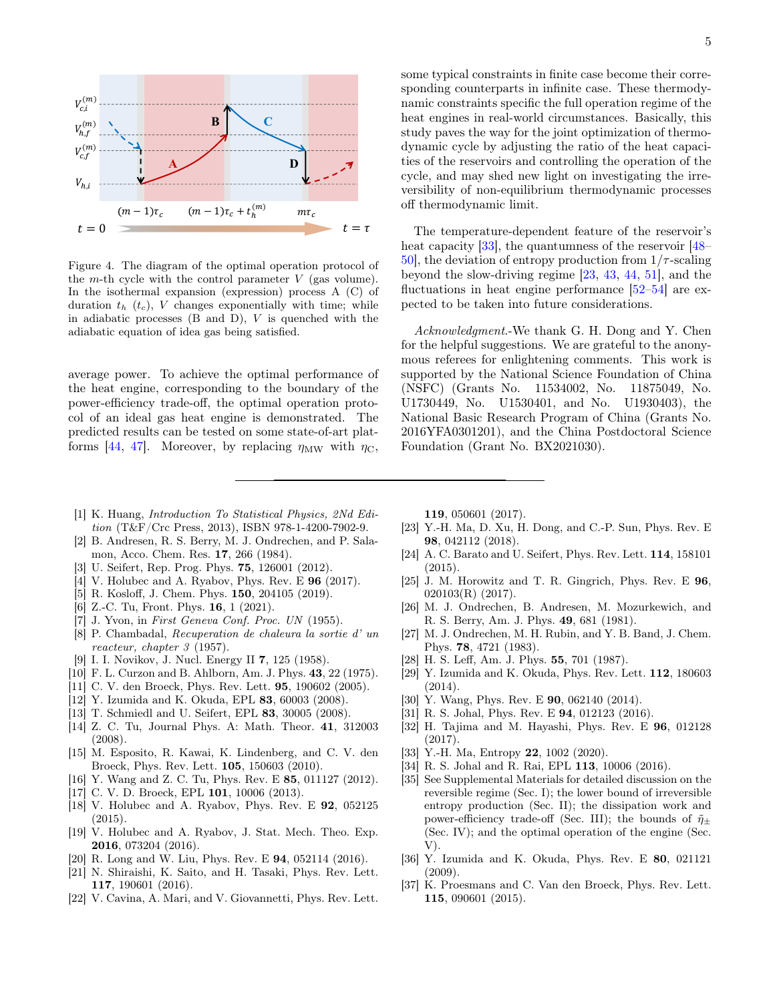

Figure 4. The diagram of the optimal operation protocol of the m-th cycle with the control parameter  $V$  (gas volume). In the isothermal expansion (expression) process A (C) of duration  $t_h$  ( $t_c$ ), V changes exponentially with time; while in adiabatic processes  $(B \text{ and } D)$ ,  $V$  is quenched with the adiabatic equation of idea gas being satisfied.

average power. To achieve the optimal performance of the heat engine, corresponding to the boundary of the power-efficiency trade-off, the optimal operation protocol of an ideal gas heat engine is demonstrated. The predicted results can be tested on some state-of-art platforms [44, 47]. Moreover, by replacing  $\eta_{\rm MW}$  with  $\eta_{\rm C}$ ,

5

some typical constraints in finite case become their corresponding counterparts in infinite case. These thermodynamic constraints specific the full operation regime of the heat engines in real-world circumstances. Basically, this study paves the way for the joint optimization of thermodynamic cycle by adjusting the ratio of the heat capacities of the reservoirs and controlling the operation of the cycle, and may shed new light on investigating the irreversibility of non-equilibrium thermodynamic processes off thermodynamic limit.

The temperature-dependent feature of the reservoir's heat capacity [33], the quantumness of the reservoir [48– 50, the deviation of entropy production from  $1/\tau$ -scaling beyond the slow-driving regime [23, 43, 44, 51], and the fluctuations in heat engine performance [52–54] are expected to be taken into future considerations.

Acknowledgment.-We thank G. H. Dong and Y. Chen for the helpful suggestions. We are grateful to the anonymous referees for enlightening comments. This work is supported by the National Science Foundation of China (NSFC) (Grants No. 11534002, No. 11875049, No. U1730449, No. U1530401, and No. U1930403), the National Basic Research Program of China (Grants No. 2016YFA0301201), and the China Postdoctoral Science Foundation (Grant No. BX2021030).

- [1] K. Huang, Introduction To Statistical Physics, 2Nd Edition (T&F/Crc Press, 2013), ISBN 978-1-4200-7902-9.
- [2] B. Andresen, R. S. Berry, M. J. Ondrechen, and P. Salamon, Acco. Chem. Res. 17, 266 (1984).
- [3] U. Seifert, Rep. Prog. Phys. **75**, 126001 (2012).
- [4] V. Holubec and A. Ryabov, Phys. Rev. E 96 (2017).
- [5] R. Kosloff, J. Chem. Phys. 150, 204105 (2019).
- [6] Z.-C. Tu, Front. Phys. **16**, 1 (2021).
- [7] J. Yvon, in First Geneva Conf. Proc. UN (1955).
- [8] P. Chambadal, Recuperation de chaleura la sortie d' un reacteur, chapter 3 (1957).
- [9] I. I. Novikov, J. Nucl. Energy II 7, 125 (1958).
- [10] F. L. Curzon and B. Ahlborn, Am. J. Phys. 43, 22 (1975).
- [11] C. V. den Broeck, Phys. Rev. Lett. **95**, 190602 (2005).
- [12] Y. Izumida and K. Okuda, EPL 83, 60003 (2008).
- [13] T. Schmiedl and U. Seifert, EPL 83, 30005 (2008).
- [14] Z. C. Tu, Journal Phys. A: Math. Theor. 41, 312003 (2008).
- [15] M. Esposito, R. Kawai, K. Lindenberg, and C. V. den Broeck, Phys. Rev. Lett. 105, 150603 (2010).
- [16] Y. Wang and Z. C. Tu, Phys. Rev. E 85, 011127 (2012).
- [17] C. V. D. Broeck, EPL **101**, 10006 (2013).
- [18] V. Holubec and A. Ryabov, Phys. Rev. E 92, 052125  $(2015)$ .
- [19] V. Holubec and A. Ryabov, J. Stat. Mech. Theo. Exp. 2016, 073204 (2016).
- [20] R. Long and W. Liu, Phys. Rev. E 94, 052114 (2016).
- [21] N. Shiraishi, K. Saito, and H. Tasaki, Phys. Rev. Lett. 117, 190601 (2016).
- [22] V. Cavina, A. Mari, and V. Giovannetti, Phys. Rev. Lett.

119, 050601 (2017).

- [23] Y.-H. Ma, D. Xu, H. Dong, and C.-P. Sun, Phys. Rev. E 98, 042112 (2018).
- [24] A. C. Barato and U. Seifert, Phys. Rev. Lett. 114, 158101 (2015).
- [25] J. M. Horowitz and T. R. Gingrich, Phys. Rev. E 96, 020103(R) (2017).
- [26] M. J. Ondrechen, B. Andresen, M. Mozurkewich, and R. S. Berry, Am. J. Phys. 49, 681 (1981).
- [27] M. J. Ondrechen, M. H. Rubin, and Y. B. Band, J. Chem. Phys. 78, 4721 (1983).
- [28] H. S. Leff, Am. J. Phys. 55, 701 (1987).
- [29] Y. Izumida and K. Okuda, Phys. Rev. Lett. 112, 180603 (2014).
- [30] Y. Wang, Phys. Rev. E **90**, 062140 (2014).
- [31] R. S. Johal, Phys. Rev. E 94, 012123 (2016).
- [32] H. Tajima and M. Hayashi, Phys. Rev. E 96, 012128 (2017).
- [33] Y.-H. Ma, Entropy 22, 1002 (2020).
- [34] R. S. Johal and R. Rai, EPL 113, 10006 (2016).
- [35] See Supplemental Materials for detailed discussion on the reversible regime (Sec. I); the lower bound of irreversible entropy production (Sec. II); the dissipation work and power-efficiency trade-off (Sec. III); the bounds of  $\tilde{\eta}_{\pm}$ (Sec. IV); and the optimal operation of the engine (Sec.  $V$ ).
- [36] Y. Izumida and K. Okuda, Phys. Rev. E 80, 021121 (2009).
- [37] K. Proesmans and C. Van den Broeck, Phys. Rev. Lett. 115, 090601 (2015).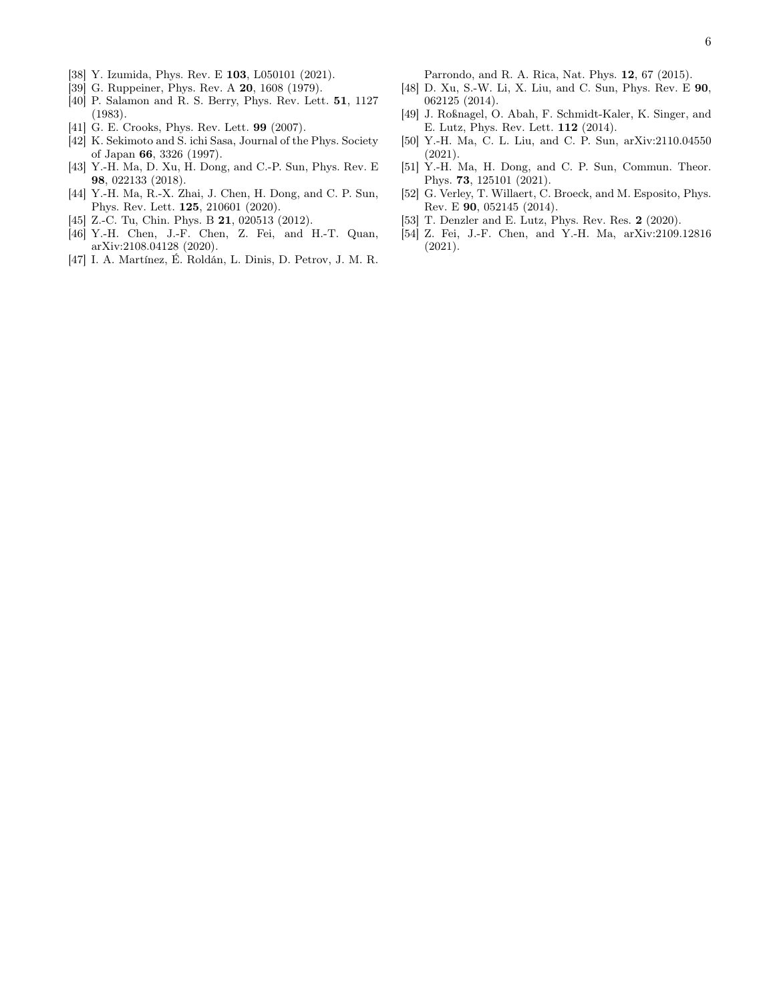- [38] Y. Izumida, Phys. Rev. E 103, L050101 (2021).
- [39] G. Ruppeiner, Phys. Rev. A **20**, 1608 (1979).
- [40] P. Salamon and R. S. Berry, Phys. Rev. Lett. 51, 1127 (1983).
- [41] G. E. Crooks, Phys. Rev. Lett. **99** (2007).
- [42] K. Sekimoto and S. ichi Sasa, Journal of the Phys. Society of Japan 66, 3326 (1997).
- [43] Y.-H. Ma, D. Xu, H. Dong, and C.-P. Sun, Phys. Rev. E 98, 022133 (2018).
- [44] Y.-H. Ma, R.-X. Zhai, J. Chen, H. Dong, and C. P. Sun, Phys. Rev. Lett. 125, 210601 (2020).
- [45] Z.-C. Tu, Chin. Phys. B **21**, 020513 (2012).
- [46] Y.-H. Chen, J.-F. Chen, Z. Fei, and H.-T. Quan, arXiv:2108.04128 (2020).
- [47] I. A. Martínez, É. Roldán, L. Dinis, D. Petrov, J. M. R.

Parrondo, and R. A. Rica, Nat. Phys. 12, 67 (2015).

- [48] D. Xu, S.-W. Li, X. Liu, and C. Sun, Phys. Rev. E 90, 062125 (2014).
- [49] J. Roßnagel, O. Abah, F. Schmidt-Kaler, K. Singer, and E. Lutz, Phys. Rev. Lett. 112 (2014).
- [50] Y.-H. Ma, C. L. Liu, and C. P. Sun, arXiv:2110.04550 (2021).
- [51] Y.-H. Ma, H. Dong, and C. P. Sun, Commun. Theor. Phys. 73, 125101 (2021).
- [52] G. Verley, T. Willaert, C. Broeck, and M. Esposito, Phys. Rev. E 90, 052145 (2014).
- [53] T. Denzler and E. Lutz, Phys. Rev. Res. 2 (2020).
- [54] Z. Fei, J.-F. Chen, and Y.-H. Ma, arXiv:2109.12816 (2021).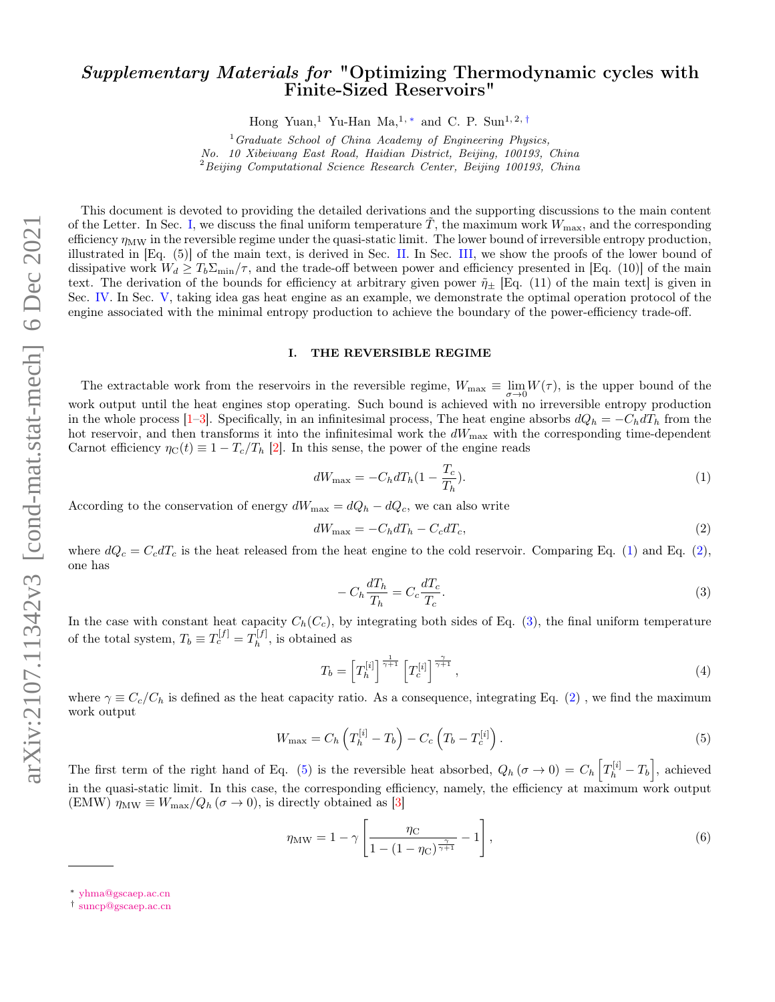# Supplementary Materials for "Optimizing Thermodynamic cycles with Finite-Sized Reservoirs"

Hong Yuan,<sup>1</sup> Yu-Han Ma,<sup>1,\*</sup> and C. P. Sun<sup>1,2,†</sup>

 $1$  Graduate School of China Academy of Engineering Physics, No. 10 Xibeiwang East Road, Haidian District, Beijing, 100193, China  $2$ Beijing Computational Science Research Center, Beijing 100193, China

This document is devoted to providing the detailed derivations and the supporting discussions to the main content of the Letter. In Sec. I, we discuss the final uniform temperature  $\ddot{T}$ , the maximum work  $W_{\text{max}}$ , and the corresponding efficiency  $\eta_{\text{MW}}$  in the reversible regime under the quasi-static limit. The lower bound of irreversible entropy production, illustrated in [Eq. (5)] of the main text, is derived in Sec. II. In Sec. III, we show the proofs of the lower bound of dissipative work  $W_d \geq T_b \Sigma_{\min}/\tau$ , and the trade-off between power and efficiency presented in [Eq. (10)] of the main text. The derivation of the bounds for efficiency at arbitrary given power  $\tilde{\eta}_\pm$  [Eq. (11) of the main text] is given in Sec. IV. In Sec. V, taking idea gas heat engine as an example, we demonstrate the optimal operation protocol of the engine associated with the minimal entropy production to achieve the boundary of the power-efficiency trade-off.

### I. THE REVERSIBLE REGIME

The extractable work from the reservoirs in the reversible regime,  $W_{\text{max}} \equiv \lim_{\sigma \to 0} W(\tau)$ , is the upper bound of the work output until the heat engines stop operating. Such bound is achieved with no irreversible entropy production in the whole process [1–3]. Specifically, in an infinitesimal process, The heat engine absorbs  $dQ_h = -C_h dT_h$  from the hot reservoir, and then transforms it into the infinitesimal work the  $dW_{\text{max}}$  with the corresponding time-dependent Carnot efficiency  $\eta_C(t) \equiv 1 - T_c/T_h$  [2]. In this sense, the power of the engine reads

$$
dW_{\text{max}} = -C_h dT_h (1 - \frac{T_c}{T_h}).\tag{1}
$$

According to the conservation of energy  $dW_{\text{max}} = dQ_h - dQ_c$ , we can also write

$$
dW_{\text{max}} = -C_h dT_h - C_c dT_c,\tag{2}
$$

where  $dQ_c = C_c dT_c$  is the heat released from the heat engine to the cold reservoir. Comparing Eq. (1) and Eq. (2), one has

$$
-C_h \frac{dT_h}{T_h} = C_c \frac{dT_c}{T_c}.
$$
\n<sup>(3)</sup>

In the case with constant heat capacity  $C_h(C_c)$ , by integrating both sides of Eq. (3), the final uniform temperature of the total system,  $T_b \equiv T_c^{[f]} = T_h^{[f]}$  $h^{[j]}$ , is obtained as

$$
T_b = \left[T_h^{[i]}\right]^{\frac{1}{\gamma+1}} \left[T_c^{[i]}\right]^{\frac{\gamma}{\gamma+1}},\tag{4}
$$

where  $\gamma \equiv C_c/C_b$  is defined as the heat capacity ratio. As a consequence, integrating Eq. (2), we find the maximum work output

$$
W_{\max} = C_h \left( T_h^{[i]} - T_b \right) - C_c \left( T_b - T_c^{[i]} \right). \tag{5}
$$

The first term of the right hand of Eq. (5) is the reversible heat absorbed,  $Q_h(\sigma \to 0) = C_h \left[ T_h^{[i]} - T_b \right]$ , achieved in the quasi-static limit. In this case, the corresponding efficiency, namely, the efficiency at maximum work output (EMW)  $\eta_{\text{MW}} \equiv W_{\text{max}}/Q_h (\sigma \to 0)$ , is directly obtained as [3]

$$
\eta_{\rm MW} = 1 - \gamma \left[ \frac{\eta_{\rm C}}{1 - (1 - \eta_{\rm C})^{\frac{\gamma}{\gamma + 1}}} - 1 \right],\tag{6}
$$

<sup>∗</sup> yhma@gscaep.ac.cn

<sup>†</sup> suncp@gscaep.ac.cn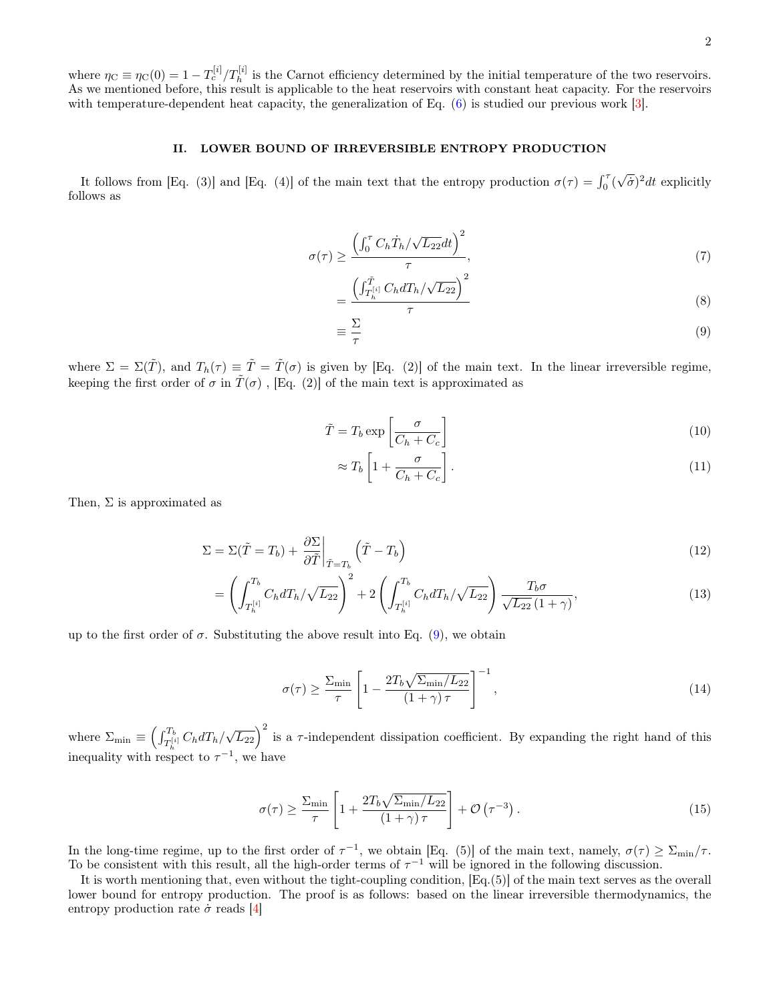where  $\eta_C \equiv \eta_C(0) = 1 - T_c^{[i]}/T_h^{[i]}$  is the Carnot efficiency determined by the initial temperature of the two reservoirs. As we mentioned before, this result is applicable to the heat reservoirs with constant heat capacity. For the reservoirs with temperature-dependent heat capacity, the generalization of Eq.  $(6)$  is studied our previous work [3].

### II. LOWER BOUND OF IRREVERSIBLE ENTROPY PRODUCTION

It follows from [Eq. (3)] and [Eq. (4)] of the main text that the entropy production  $\sigma(\tau) = \int_0^{\tau} (\sqrt{\dot{\sigma}})^2 dt$  explicitly follows as

$$
\sigma(\tau) \ge \frac{\left(\int_0^{\tau} C_h \dot{T}_h / \sqrt{L_{22}} dt\right)^2}{\tau},\tag{7}
$$

$$
=\frac{\left(\int_{T_h^{[i]}}^{\tilde{T}} C_h dT_h / \sqrt{L_{22}}\right)^2}{\tau} \tag{8}
$$

$$
\equiv \frac{\Sigma}{\tau} \tag{9}
$$

where  $\Sigma = \Sigma(\tilde{T})$ , and  $T_h(\tau) \equiv \tilde{T} = \tilde{T}(\sigma)$  is given by [Eq. (2)] of the main text. In the linear irreversible regime, keeping the first order of  $\sigma$  in  $\tilde{T}(\sigma)$ , [Eq. (2)] of the main text is approximated as

$$
\tilde{T} = T_b \exp\left[\frac{\sigma}{C_h + C_c}\right] \tag{10}
$$

$$
\approx T_b \left[ 1 + \frac{\sigma}{C_h + C_c} \right]. \tag{11}
$$

Then,  $\Sigma$  is approximated as

$$
\Sigma = \Sigma(\tilde{T} = T_b) + \left. \frac{\partial \Sigma}{\partial \tilde{T}} \right|_{\tilde{T} = T_b} \left( \tilde{T} - T_b \right)
$$
\n(12)

$$
= \left(\int_{T_h^{[i]}}^{T_b} C_h dT_h / \sqrt{L_{22}}\right)^2 + 2\left(\int_{T_h^{[i]}}^{T_b} C_h dT_h / \sqrt{L_{22}}\right) \frac{T_b \sigma}{\sqrt{L_{22}} (1+\gamma)},\tag{13}
$$

up to the first order of  $\sigma$ . Substituting the above result into Eq. (9), we obtain

$$
\sigma(\tau) \ge \frac{\Sigma_{\min}}{\tau} \left[ 1 - \frac{2T_b \sqrt{\Sigma_{\min}/L_{22}}}{(1+\gamma)\tau} \right]^{-1},\tag{14}
$$

where  $\Sigma_{\min} \equiv \left(\int_{T_h^{[i]}}^{T_b} C_h dT_h / \sqrt{L_{22}}\right)^2$  is a  $\tau$ -independent dissipation coefficient. By expanding the right hand of this inequality with respect to  $\tau^{-1}$ , we have

$$
\sigma(\tau) \ge \frac{\Sigma_{\min}}{\tau} \left[ 1 + \frac{2T_b \sqrt{\Sigma_{\min}/L_{22}}}{(1+\gamma)\tau} \right] + \mathcal{O}\left(\tau^{-3}\right). \tag{15}
$$

In the long-time regime, up to the first order of  $\tau^{-1}$ , we obtain [Eq. (5)] of the main text, namely,  $\sigma(\tau) \ge \Sigma_{\min}/\tau$ . To be consistent with this result, all the high-order terms of  $\tau^{-1}$  will be ignored in the following discussion.

It is worth mentioning that, even without the tight-coupling condition, [Eq.(5)] of the main text serves as the overall lower bound for entropy production. The proof is as follows: based on the linear irreversible thermodynamics, the entropy production rate  $\dot{\sigma}$  reads [4]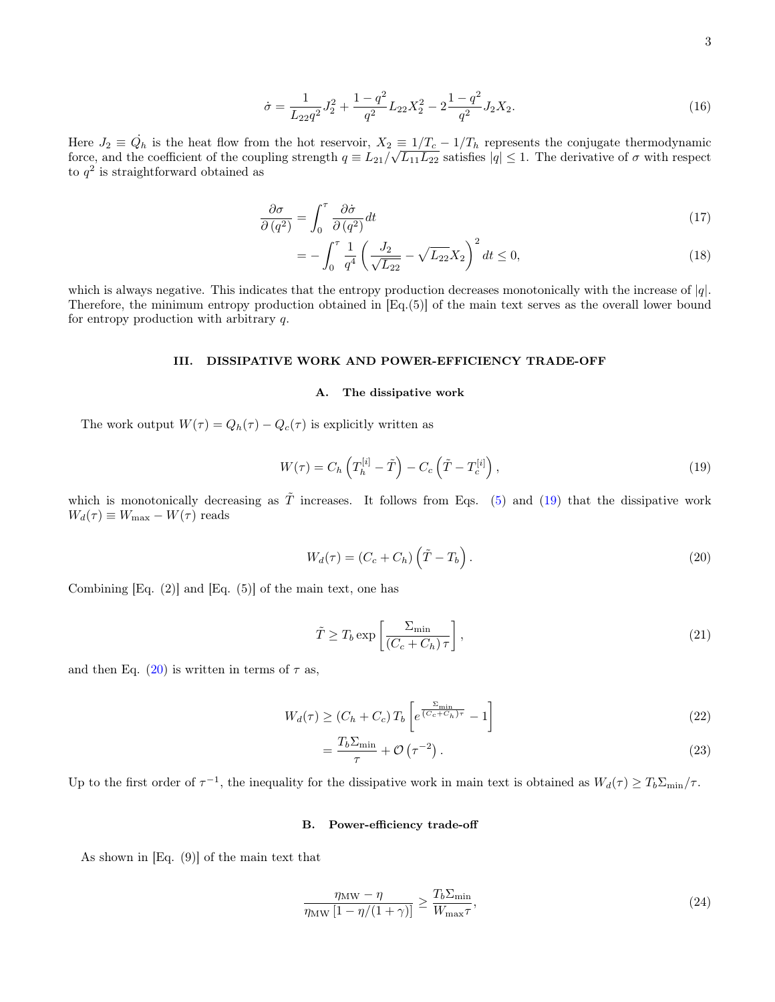$$
\dot{\sigma} = \frac{1}{L_{22}q^2} J_2^2 + \frac{1 - q^2}{q^2} L_{22} X_2^2 - 2 \frac{1 - q^2}{q^2} J_2 X_2.
$$
\n(16)

Here  $J_2 \equiv \dot{Q}_h$  is the heat flow from the hot reservoir,  $X_2 \equiv 1/T_c - 1/T_h$  represents the conjugate thermodynamic force, and the coefficient of the coupling strength  $q = L_{21}/\sqrt{L_{11}L_{22}}$  satisfies  $|q| \leq 1$ . The derivative of  $\sigma$  with respect to  $q^2$  is straightforward obtained as

$$
\frac{\partial \sigma}{\partial (q^2)} = \int_0^\tau \frac{\partial \dot{\sigma}}{\partial (q^2)} dt \tag{17}
$$

$$
= -\int_0^{\tau} \frac{1}{q^4} \left( \frac{J_2}{\sqrt{L_{22}}} - \sqrt{L_{22}} X_2 \right)^2 dt \le 0,
$$
\n(18)

which is always negative. This indicates that the entropy production decreases monotonically with the increase of  $|q|$ . Therefore, the minimum entropy production obtained in [Eq.(5)] of the main text serves as the overall lower bound for entropy production with arbitrary q.

## III. DISSIPATIVE WORK AND POWER-EFFICIENCY TRADE-OFF

#### A. The dissipative work

The work output  $W(\tau) = Q_h(\tau) - Q_c(\tau)$  is explicitly written as

$$
W(\tau) = C_h \left( T_h^{[i]} - \tilde{T} \right) - C_c \left( \tilde{T} - T_c^{[i]} \right),\tag{19}
$$

which is monotonically decreasing as  $\tilde{T}$  increases. It follows from Eqs. (5) and (19) that the dissipative work  $W_d(\tau) \equiv W_{\text{max}} - W(\tau)$  reads

$$
W_d(\tau) = (C_c + C_h) \left(\tilde{T} - T_b\right). \tag{20}
$$

Combining  $[Eq. (2)]$  and  $[Eq. (5)]$  of the main text, one has

$$
\tilde{T} \ge T_b \exp\left[\frac{\Sigma_{\min}}{(C_c + C_h)\tau}\right],\tag{21}
$$

and then Eq.  $(20)$  is written in terms of  $\tau$  as,

$$
W_d(\tau) \ge (C_h + C_c) T_b \left[ e^{\frac{\Sigma_{\min}}{(C_c + C_h)\tau}} - 1 \right]
$$
\n(22)

$$
=\frac{T_b\Sigma_{\min}}{\tau}+\mathcal{O}\left(\tau^{-2}\right). \tag{23}
$$

Up to the first order of  $\tau^{-1}$ , the inequality for the dissipative work in main text is obtained as  $W_d(\tau) \ge T_b \Sigma_{\min}/\tau$ .

#### B. Power-efficiency trade-off

As shown in [Eq. (9)] of the main text that

$$
\frac{\eta_{\text{MW}} - \eta}{\eta_{\text{MW}} \left[ 1 - \eta / (1 + \gamma) \right]} \ge \frac{T_b \Sigma_{\text{min}}}{W_{\text{max}} \tau},\tag{24}
$$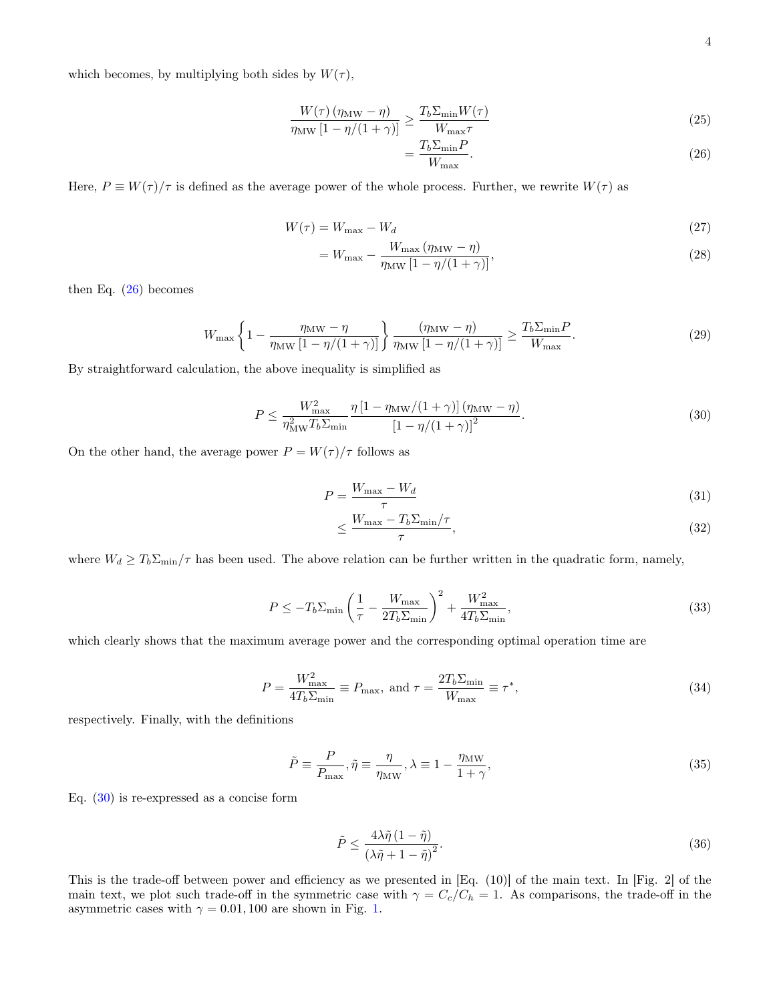which becomes, by multiplying both sides by  $W(\tau)$ ,

$$
\frac{W(\tau) (\eta_{\text{MW}} - \eta)}{\eta_{\text{MW}} [1 - \eta/(1 + \gamma)]} \ge \frac{T_b \Sigma_{\text{min}} W(\tau)}{W_{\text{max}} \tau}
$$
\n(25)

$$
(1+\gamma)\rbrack = \frac{W_{\text{max}}\tau}{W_{\text{max}}}.
$$
\n(26)

Here,  $P \equiv W(\tau)/\tau$  is defined as the average power of the whole process. Further, we rewrite  $W(\tau)$  as

$$
W(\tau) = W_{\text{max}} - W_d \tag{27}
$$

$$
=W_{\max} - \frac{W_{\max}(\eta_{\text{MW}} - \eta)}{\eta_{\text{MW}}[1 - \eta/(1+\gamma)]},\tag{28}
$$

then Eq. (26) becomes

$$
W_{\max}\left\{1-\frac{\eta_{\text{MW}}-\eta}{\eta_{\text{MW}}\left[1-\eta/(1+\gamma)\right]}\right\}\frac{(\eta_{\text{MW}}-\eta)}{\eta_{\text{MW}}\left[1-\eta/(1+\gamma)\right]}\geq \frac{T_b \Sigma_{\min} P}{W_{\max}}.\tag{29}
$$

By straightforward calculation, the above inequality is simplified as

$$
P \le \frac{W_{\text{max}}^2}{\eta_{\text{MW}}^2 T_b \Sigma_{\text{min}}} \frac{\eta \left[1 - \eta_{\text{MW}} / (1 + \gamma)\right] (\eta_{\text{MW}} - \eta)}{\left[1 - \eta / (1 + \gamma)\right]^2}.
$$
\n
$$
(30)
$$

On the other hand, the average power  $P = W(\tau)/\tau$  follows as

$$
P = \frac{W_{\text{max}} - W_d}{\tau} \tag{31}
$$

$$
\leq \frac{W_{\text{max}} - T_b \Sigma_{\text{min}} / \tau}{\tau},\tag{32}
$$

where  $W_d \geq T_b \Sigma_{\text{min}}/\tau$  has been used. The above relation can be further written in the quadratic form, namely,

$$
P \le -T_b \Sigma_{\min} \left(\frac{1}{\tau} - \frac{W_{\max}}{2T_b \Sigma_{\min}}\right)^2 + \frac{W_{\max}^2}{4T_b \Sigma_{\min}},
$$
\n(33)

which clearly shows that the maximum average power and the corresponding optimal operation time are

$$
P = \frac{W_{\text{max}}^2}{4T_b \Sigma_{\text{min}}} \equiv P_{\text{max}}, \text{ and } \tau = \frac{2T_b \Sigma_{\text{min}}}{W_{\text{max}}} \equiv \tau^*,\tag{34}
$$

respectively. Finally, with the definitions

$$
\tilde{P} \equiv \frac{P}{P_{\text{max}}}, \tilde{\eta} \equiv \frac{\eta}{\eta_{\text{MW}}}, \lambda \equiv 1 - \frac{\eta_{\text{MW}}}{1 + \gamma},\tag{35}
$$

Eq. (30) is re-expressed as a concise form

$$
\tilde{P} \le \frac{4\lambda \tilde{\eta} (1 - \tilde{\eta})}{\left(\lambda \tilde{\eta} + 1 - \tilde{\eta}\right)^2}.
$$
\n(36)

This is the trade-off between power and efficiency as we presented in [Eq. (10)] of the main text. In [Fig. 2] of the main text, we plot such trade-off in the symmetric case with  $\gamma = C_c/C_h = 1$ . As comparisons, the trade-off in the asymmetric cases with  $\gamma = 0.01, 100$  are shown in Fig. 1.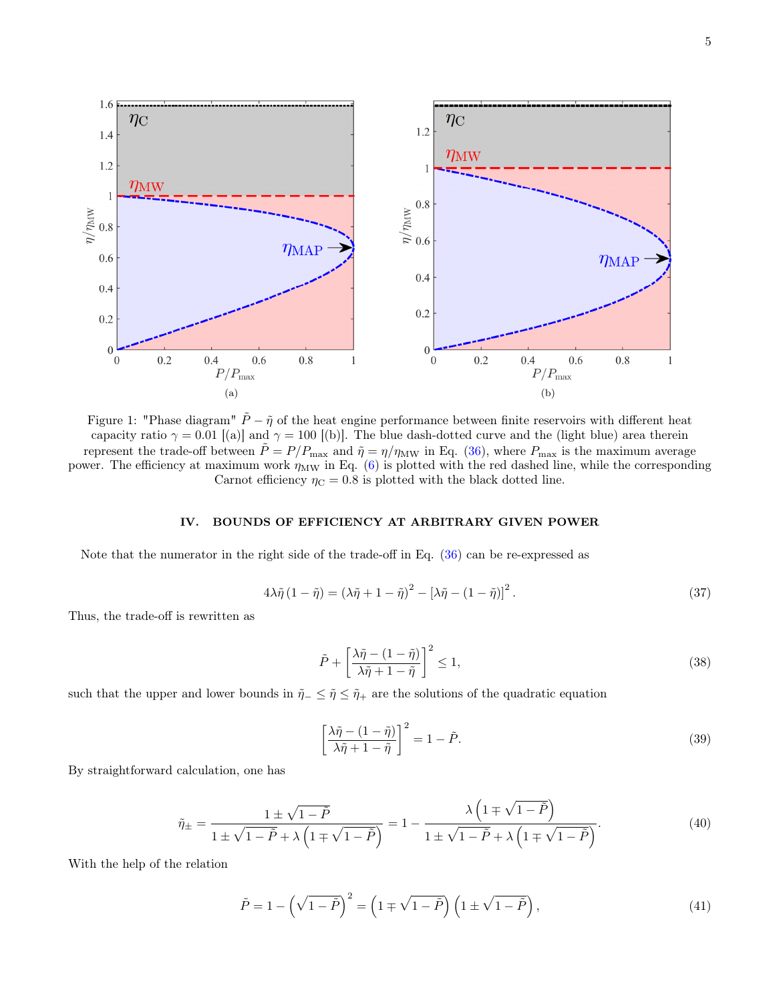

5



Figure 1: "Phase diagram"  $\tilde{P} - \tilde{\eta}$  of the heat engine performance between finite reservoirs with different heat capacity ratio  $\gamma = 0.01$  [(a)] and  $\gamma = 100$  [(b)]. The blue dash-dotted curve and the (light blue) area therein represent the trade-off between  $\tilde{P} = P/P_{\text{max}}$  and  $\tilde{\eta} = \eta/\eta_{\text{MW}}$  in Eq. (36), where  $P_{\text{max}}$  is the maximum average power. The efficiency at maximum work  $\eta_{\text{MW}}$  in Eq. (6) is plotted with the red dashed line, while the corresponding Carnot efficiency  $\eta_C = 0.8$  is plotted with the black dotted line.

# IV. BOUNDS OF EFFICIENCY AT ARBITRARY GIVEN POWER

Note that the numerator in the right side of the trade-off in Eq. (36) can be re-expressed as

$$
4\lambda \tilde{\eta} (1 - \tilde{\eta}) = (\lambda \tilde{\eta} + 1 - \tilde{\eta})^2 - [\lambda \tilde{\eta} - (1 - \tilde{\eta})]^2.
$$
 (37)

Thus, the trade-off is rewritten as

$$
\tilde{P} + \left[\frac{\lambda \tilde{\eta} - (1 - \tilde{\eta})}{\lambda \tilde{\eta} + 1 - \tilde{\eta}}\right]^2 \le 1,\tag{38}
$$

such that the upper and lower bounds in  $\tilde{\eta}_-\leq \tilde{\eta}\leq \tilde{\eta}_+$  are the solutions of the quadratic equation

$$
\left[\frac{\lambda \tilde{\eta} - (1 - \tilde{\eta})}{\lambda \tilde{\eta} + 1 - \tilde{\eta}}\right]^2 = 1 - \tilde{P}.
$$
\n(39)

By straightforward calculation, one has

$$
\tilde{\eta}_{\pm} = \frac{1 \pm \sqrt{1 - \tilde{P}}}{1 \pm \sqrt{1 - \tilde{P}} + \lambda \left(1 \mp \sqrt{1 - \tilde{P}}\right)} = 1 - \frac{\lambda \left(1 \mp \sqrt{1 - \tilde{P}}\right)}{1 \pm \sqrt{1 - \tilde{P}} + \lambda \left(1 \mp \sqrt{1 - \tilde{P}}\right)}.
$$
\n(40)

With the help of the relation

$$
\tilde{P} = 1 - \left(\sqrt{1 - \tilde{P}}\right)^2 = \left(1 \mp \sqrt{1 - \tilde{P}}\right) \left(1 \pm \sqrt{1 - \tilde{P}}\right),\tag{41}
$$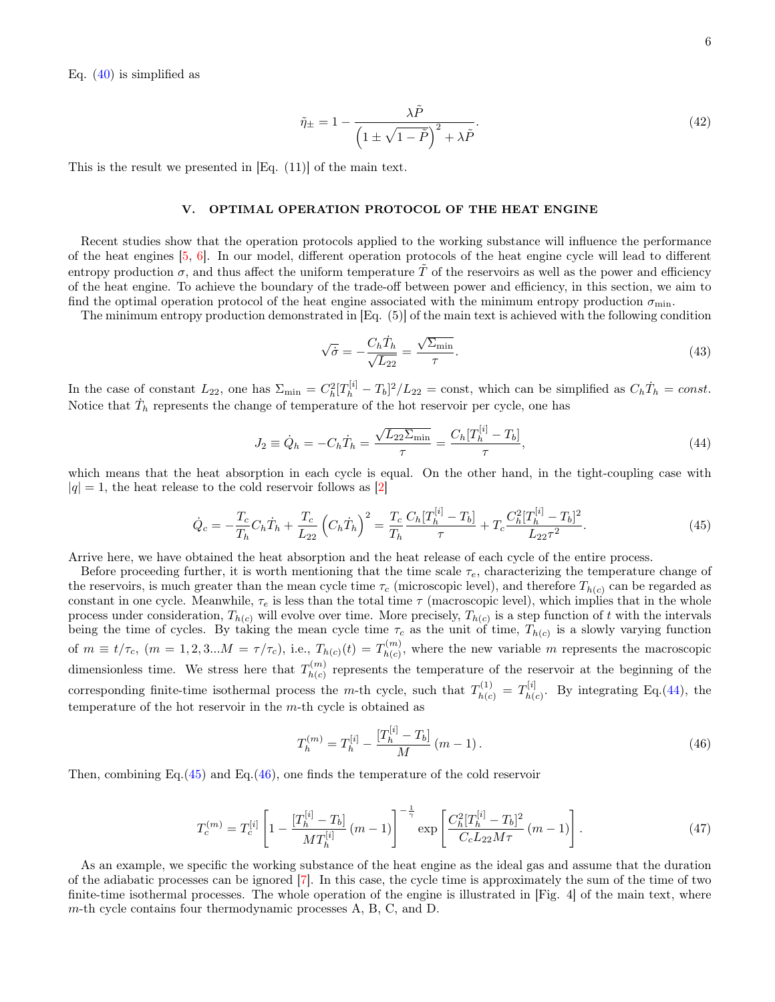Eq.  $(40)$  is simplified as

$$
\tilde{\eta}_{\pm} = 1 - \frac{\lambda \tilde{P}}{\left(1 \pm \sqrt{1 - \tilde{P}}\right)^2 + \lambda \tilde{P}}.\tag{42}
$$

This is the result we presented in [Eq. (11)] of the main text.

#### V. OPTIMAL OPERATION PROTOCOL OF THE HEAT ENGINE

Recent studies show that the operation protocols applied to the working substance will influence the performance of the heat engines [5, 6]. In our model, different operation protocols of the heat engine cycle will lead to different entropy production  $\sigma$ , and thus affect the uniform temperature  $\tilde{T}$  of the reservoirs as well as the power and efficiency of the heat engine. To achieve the boundary of the trade-off between power and efficiency, in this section, we aim to find the optimal operation protocol of the heat engine associated with the minimum entropy production  $\sigma_{\min}$ .

The minimum entropy production demonstrated in [Eq. (5)] of the main text is achieved with the following condition

$$
\sqrt{\dot{\sigma}} = -\frac{C_h \dot{T}_h}{\sqrt{L_{22}}} = \frac{\sqrt{\Sigma_{\text{min}}}}{\tau}.
$$
\n(43)

In the case of constant  $L_{22}$ , one has  $\Sigma_{\rm min} = C_h^2 [T_h^{[i]} - T_b]^2 / L_{22} = \text{const}$ , which can be simplified as  $C_h \dot{T}_h = const$ . Notice that  $\dot{T}_h$  represents the change of temperature of the hot reservoir per cycle, one has

$$
J_2 \equiv \dot{Q}_h = -C_h \dot{T}_h = \frac{\sqrt{L_{22} \Sigma_{\text{min}}}}{\tau} = \frac{C_h [T_h^{[i]} - T_b]}{\tau},\tag{44}
$$

which means that the heat absorption in each cycle is equal. On the other hand, in the tight-coupling case with  $|q| = 1$ , the heat release to the cold reservoir follows as [2]

$$
\dot{Q}_c = -\frac{T_c}{T_h} C_h \dot{T}_h + \frac{T_c}{L_{22}} \left( C_h \dot{T}_h \right)^2 = \frac{T_c}{T_h} \frac{C_h [T_h^{[i]} - T_b]}{\tau} + T_c \frac{C_h^2 [T_h^{[i]} - T_b]^2}{L_{22} \tau^2}.
$$
\n(45)

Arrive here, we have obtained the heat absorption and the heat release of each cycle of the entire process.

Before proceeding further, it is worth mentioning that the time scale  $\tau_e$ , characterizing the temperature change of the reservoirs, is much greater than the mean cycle time  $\tau_c$  (microscopic level), and therefore  $T_{h(c)}$  can be regarded as constant in one cycle. Meanwhile,  $\tau_e$  is less than the total time  $\tau$  (macroscopic level), which implies that in the whole process under consideration,  $T_{h(c)}$  will evolve over time. More precisely,  $T_{h(c)}$  is a step function of t with the intervals being the time of cycles. By taking the mean cycle time  $\tau_c$  as the unit of time,  $T_{h(c)}$  is a slowly varying function of  $m \equiv t/\tau_c$ ,  $(m = 1, 2, 3...M = \tau/\tau_c)$ , i.e.,  $T_{h(c)}(t) = T_{h(c)}^{(m)}$  $h(c)$ , where the new variable m represents the macroscopic dimensionless time. We stress here that  $T_{h(c)}^{(m)}$  $h(c)$  represents the temperature of the reservoir at the beginning of the corresponding finite-time isothermal process the m-th cycle, such that  $T_{h(c)}^{(1)} = T_{h(c)}^{[i]}$  $h(c)$ . By integrating Eq.(44), the temperature of the hot reservoir in the m-th cycle is obtained as

$$
T_h^{(m)} = T_h^{[i]} - \frac{[T_h^{[i]} - T_b]}{M} (m - 1).
$$
\n(46)

Then, combining Eq. $(45)$  and Eq. $(46)$ , one finds the temperature of the cold reservoir

$$
T_c^{(m)} = T_c^{[i]} \left[ 1 - \frac{[T_h^{[i]} - T_b]}{MT_h^{[i]}} (m - 1) \right]^{-\frac{1}{\gamma}} \exp\left[ \frac{C_h^2 [T_h^{[i]} - T_b]^2}{C_c L_{22} M \tau} (m - 1) \right]. \tag{47}
$$

As an example, we specific the working substance of the heat engine as the ideal gas and assume that the duration of the adiabatic processes can be ignored [7]. In this case, the cycle time is approximately the sum of the time of two finite-time isothermal processes. The whole operation of the engine is illustrated in [Fig. 4] of the main text, where m-th cycle contains four thermodynamic processes A, B, C, and D.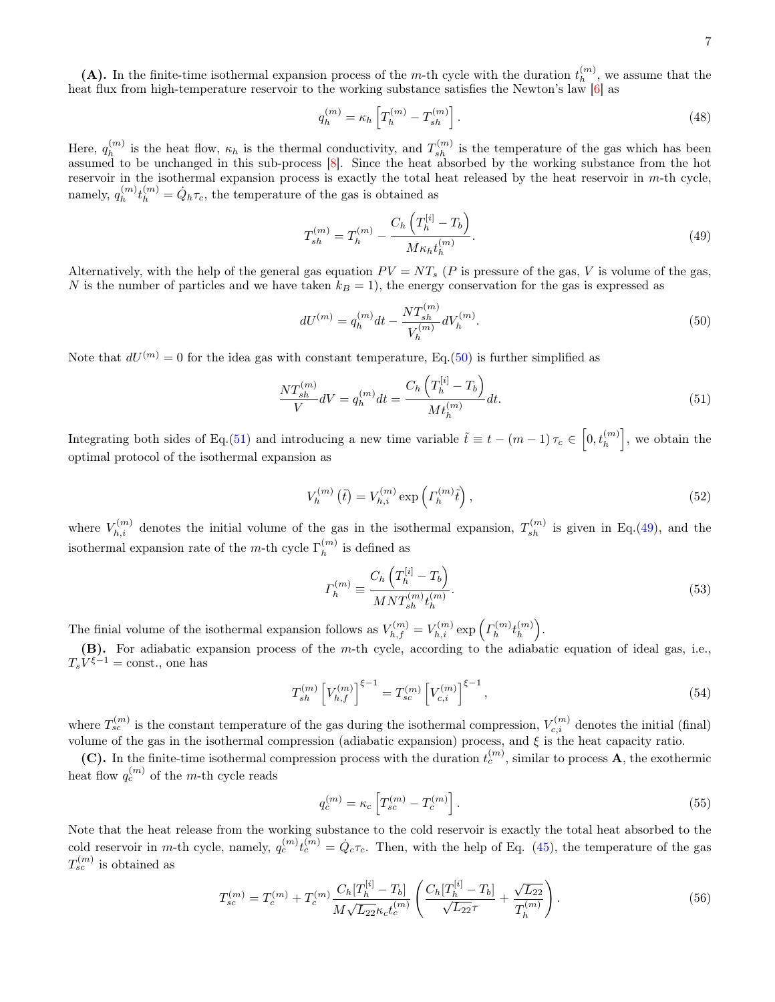(A). In the finite-time isothermal expansion process of the m-th cycle with the duration  $t_h^{(m)}$  $\binom{m}{h}$ , we assume that the heat flux from high-temperature reservoir to the working substance satisfies the Newton's law [6] as

$$
q_h^{(m)} = \kappa_h \left[ T_h^{(m)} - T_{sh}^{(m)} \right]. \tag{48}
$$

Here,  $q_h^{(m)}$  $\binom{m}{h}$  is the heat flow,  $\kappa_h$  is the thermal conductivity, and  $T_{sh}^{(m)}$  is the temperature of the gas which has been assumed to be unchanged in this sub-process [8]. Since the heat absorbed by the working substance from the hot reservoir in the isothermal expansion process is exactly the total heat released by the heat reservoir in m-th cycle, namely,  $q_h^{(m)}$  $\binom{m}{h} t_h^{(m)} = \dot{Q}_h \tau_c$ , the temperature of the gas is obtained as

$$
T_{sh}^{(m)} = T_h^{(m)} - \frac{C_h \left( T_h^{[i]} - T_b \right)}{M \kappa_h t_h^{(m)}}.
$$
\n(49)

Alternatively, with the help of the general gas equation  $PV = NT_s$  (P is pressure of the gas, V is volume of the gas, N is the number of particles and we have taken  $k_B = 1$ , the energy conservation for the gas is expressed as

$$
dU^{(m)} = q_h^{(m)}dt - \frac{NT_{sh}^{(m)}}{V_h^{(m)}}dV_h^{(m)}.
$$
\n(50)

Note that  $dU^{(m)} = 0$  for the idea gas with constant temperature, Eq.(50) is further simplified as

$$
\frac{NT_{sh}^{(m)}}{V}dV = q_h^{(m)}dt = \frac{C_h\left(T_h^{[i]} - T_b\right)}{Mt_h^{(m)}}dt.
$$
\n(51)

Integrating both sides of Eq.(51) and introducing a new time variable  $\tilde{t} \equiv t - (m-1)\tau_c \in \left[0, t_h^{(m)}\right]$ , we obtain the optimal protocol of the isothermal expansion as

$$
V_h^{(m)}(\tilde{t}) = V_{h,i}^{(m)} \exp\left(\Gamma_h^{(m)}\tilde{t}\right),\tag{52}
$$

where  $V_{h,i}^{(m)}$  denotes the initial volume of the gas in the isothermal expansion,  $T_{sh}^{(m)}$  is given in Eq.(49), and the isothermal expansion rate of the m-th cycle  $\Gamma_h^{(m)}$  $h^{(m)}$  is defined as

$$
\Gamma_h^{(m)} \equiv \frac{C_h \left( T_h^{[i]} - T_b \right)}{M N T_{sh}^{(m)} t_h^{(m)}}.
$$
\n(53)

The finial volume of the isothermal expansion follows as  $V_{h,f}^{(m)} = V_{h,i}^{(m)} \exp\left(\Gamma_h^{(m)}\right)$  $\bar{t}_{h}^{(m)}t_{h}^{(m)}$  $\binom{m}{h}$ .

(B). For adiabatic expansion process of the m-th cycle, according to the adiabatic equation of ideal gas, i.e.,  $T_s V^{\xi-1} = \text{const.}$ , one has

$$
T_{sh}^{(m)}\left[V_{h,f}^{(m)}\right]^{\xi-1} = T_{sc}^{(m)}\left[V_{c,i}^{(m)}\right]^{\xi-1},\tag{54}
$$

where  $T_{sc}^{(m)}$  is the constant temperature of the gas during the isothermal compression,  $V_{c,i}^{(m)}$  denotes the initial (final) volume of the gas in the isothermal compression (adiabatic expansion) process, and  $\xi$  is the heat capacity ratio.

(C). In the finite-time isothermal compression process with the duration  $t_c^{(m)}$ , similar to process **A**, the exothermic heat flow  $q_c^{(m)}$  of the m-th cycle reads

$$
q_c^{(m)} = \kappa_c \left[ T_{sc}^{(m)} - T_c^{(m)} \right].
$$
\n(55)

Note that the heat release from the working substance to the cold reservoir is exactly the total heat absorbed to the cold reservoir in m-th cycle, namely,  $q_c^{(m)} t_c^{(m)} = \dot{Q}_c \tau_c$ . Then, with the help of Eq. (45), the temperature of the gas  $T_{sc}^{(m)}$  is obtained as

$$
T_{sc}^{(m)} = T_c^{(m)} + T_c^{(m)} \frac{C_h[T_h^{[i]} - T_b]}{M\sqrt{L_{22}}\kappa_c t_c^{(m)}} \left(\frac{C_h[T_h^{[i]} - T_b]}{\sqrt{L_{22}}\tau} + \frac{\sqrt{L_{22}}}{T_h^{(m)}}\right). \tag{56}
$$